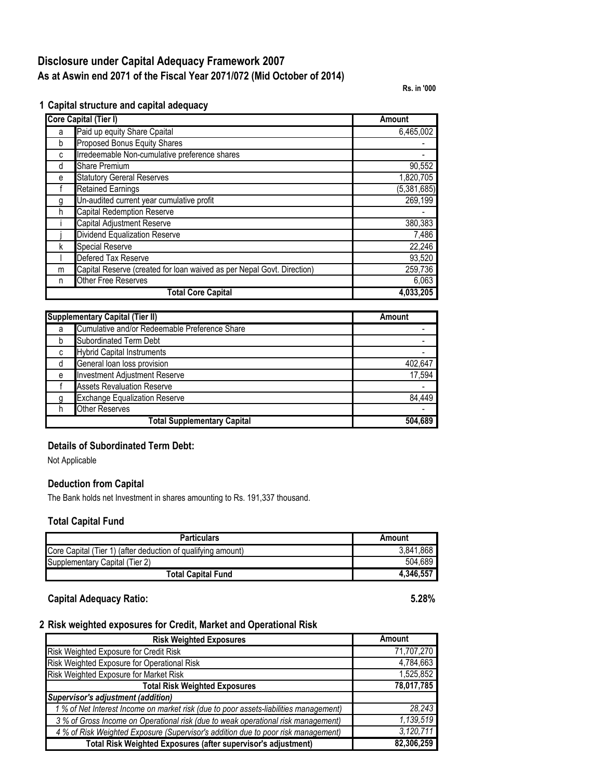# **Disclosure under Capital Adequacy Framework 2007 As at Aswin end 2071 of the Fiscal Year 2071/072 (Mid October of 2014)**

**Rs. in '000**

**1 Capital structure and capital adequacy**

|   | Core Capital (Tier I)                                                  | Amount        |  |
|---|------------------------------------------------------------------------|---------------|--|
| a | Paid up equity Share Cpaital                                           | 6,465,002     |  |
| b | Proposed Bonus Equity Shares                                           |               |  |
| c | Irredeemable Non-cumulative preference shares                          |               |  |
| d | <b>Share Premium</b>                                                   | 90,552        |  |
| e | <b>Statutory Gereral Reserves</b>                                      | 1,820,705     |  |
|   | <b>Retained Earnings</b>                                               | (5, 381, 685) |  |
| g | Un-audited current year cumulative profit                              | 269,199       |  |
| h | Capital Redemption Reserve                                             |               |  |
|   | Capital Adjustment Reserve                                             | 380,383       |  |
|   | <b>Dividend Equalization Reserve</b>                                   | 7,486         |  |
| k | <b>Special Reserve</b>                                                 | 22,246        |  |
|   | Defered Tax Reserve                                                    | 93,520        |  |
| m | Capital Reserve (created for loan waived as per Nepal Govt. Direction) | 259,736       |  |
| n | <b>Other Free Reserves</b>                                             | 6,063         |  |
|   | <b>Total Core Capital</b>                                              | 4,033,205     |  |

| <b>Supplementary Capital (Tier II)</b> |                                               | Amount  |
|----------------------------------------|-----------------------------------------------|---------|
| a                                      | Cumulative and/or Redeemable Preference Share |         |
| b                                      | <b>Subordinated Term Debt</b>                 |         |
| C                                      | <b>Hybrid Capital Instruments</b>             |         |
| d                                      | General loan loss provision                   | 402.647 |
| e                                      | <b>Investment Adjustment Reserve</b>          | 17,594  |
|                                        | <b>Assets Revaluation Reserve</b>             |         |
| q                                      | <b>Exchange Equalization Reserve</b>          | 84.449  |
|                                        | <b>Other Reserves</b>                         |         |
|                                        | <b>Total Supplementary Capital</b>            | 504.689 |

### **Details of Subordinated Term Debt:**

Not Applicable

#### **Deduction from Capital**

The Bank holds net Investment in shares amounting to Rs. 191,337 thousand.

#### **Total Capital Fund**

| <b>Particulars</b>                                           | Amount    |
|--------------------------------------------------------------|-----------|
| Core Capital (Tier 1) (after deduction of qualifying amount) | 3.841.868 |
| Supplementary Capital (Tier 2)                               | 504.689   |
| <b>Total Capital Fund</b>                                    | 4.346.557 |

**Capital Adequacy Ratio: 5.28%**

#### **2 Risk weighted exposures for Credit, Market and Operational Risk**

| <b>Risk Weighted Exposures</b>                                                        | Amount     |
|---------------------------------------------------------------------------------------|------------|
| Risk Weighted Exposure for Credit Risk                                                | 71,707,270 |
| Risk Weighted Exposure for Operational Risk                                           | 4,784,663  |
| Risk Weighted Exposure for Market Risk                                                | 1,525,852  |
| <b>Total Risk Weighted Exposures</b>                                                  | 78,017,785 |
| <b>Supervisor's adjustment (addition)</b>                                             |            |
| 1 % of Net Interest Income on market risk (due to poor assets-liabilities management) | 28,243     |
| 3 % of Gross Income on Operational risk (due to weak operational risk management)     | 1,139,519  |
| 4 % of Risk Weighted Exposure (Supervisor's addition due to poor risk management)     | 3,120,711  |
| Total Risk Weighted Exposures (after supervisor's adjustment)                         | 82,306,259 |